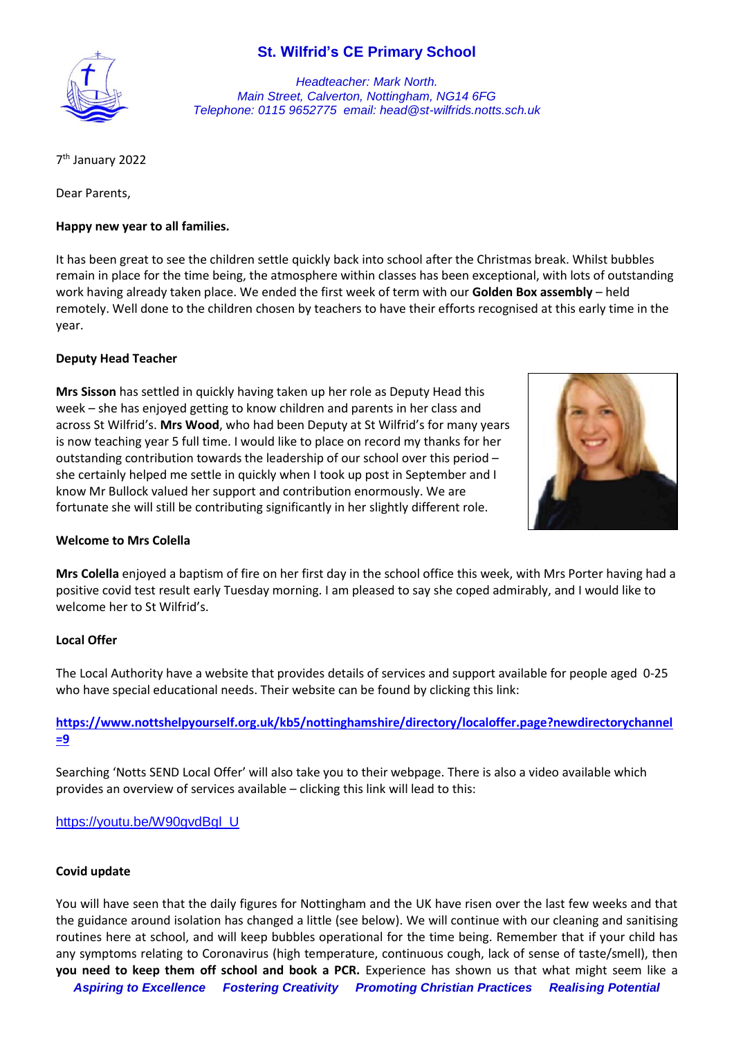# **St. Wilfrid's CE Primary School**



*Headteacher: Mark North. Main Street, Calverton, Nottingham, NG14 6FG Telephone: 0115 9652775 email: head@st-wilfrids.notts.sch.uk*

7 th January 2022

Dear Parents,

### **Happy new year to all families.**

It has been great to see the children settle quickly back into school after the Christmas break. Whilst bubbles remain in place for the time being, the atmosphere within classes has been exceptional, with lots of outstanding work having already taken place. We ended the first week of term with our **Golden Box assembly** – held remotely. Well done to the children chosen by teachers to have their efforts recognised at this early time in the year.

### **Deputy Head Teacher**

**Mrs Sisson** has settled in quickly having taken up her role as Deputy Head this week – she has enjoyed getting to know children and parents in her class and across St Wilfrid's. **Mrs Wood**, who had been Deputy at St Wilfrid's for many years is now teaching year 5 full time. I would like to place on record my thanks for her outstanding contribution towards the leadership of our school over this period – she certainly helped me settle in quickly when I took up post in September and I know Mr Bullock valued her support and contribution enormously. We are fortunate she will still be contributing significantly in her slightly different role.



#### **Welcome to Mrs Colella**

**Mrs Colella** enjoyed a baptism of fire on her first day in the school office this week, with Mrs Porter having had a positive covid test result early Tuesday morning. I am pleased to say she coped admirably, and I would like to welcome her to St Wilfrid's.

#### **Local Offer**

The Local Authority have a website that provides details of services and support available for people aged 0-25 who have special educational needs. Their website can be found by clicking this link:

## **[https://www.nottshelpyourself.org.uk/kb5/nottinghamshire/directory/localoffer.page?newdirectorychannel](https://www.nottshelpyourself.org.uk/kb5/nottinghamshire/directory/localoffer.page?newdirectorychannel=9) [=9](https://www.nottshelpyourself.org.uk/kb5/nottinghamshire/directory/localoffer.page?newdirectorychannel=9)**

Searching 'Notts SEND Local Offer' will also take you to their webpage. There is also a video available which provides an overview of services available – clicking this link will lead to this:

[https://youtu.be/W90gvdBgl\\_U](https://youtu.be/W90gvdBgl_U)

#### **Covid update**

You will have seen that the daily figures for Nottingham and the UK have risen over the last few weeks and that the guidance around isolation has changed a little (see below). We will continue with our cleaning and sanitising routines here at school, and will keep bubbles operational for the time being. Remember that if your child has any symptoms relating to Coronavirus (high temperature, continuous cough, lack of sense of taste/smell), then **you need to keep them off school and book a PCR.** Experience has shown us that what might seem like a

*Aspiring to Excellence Fostering Creativity Promoting Christian Practices Realising Potential*